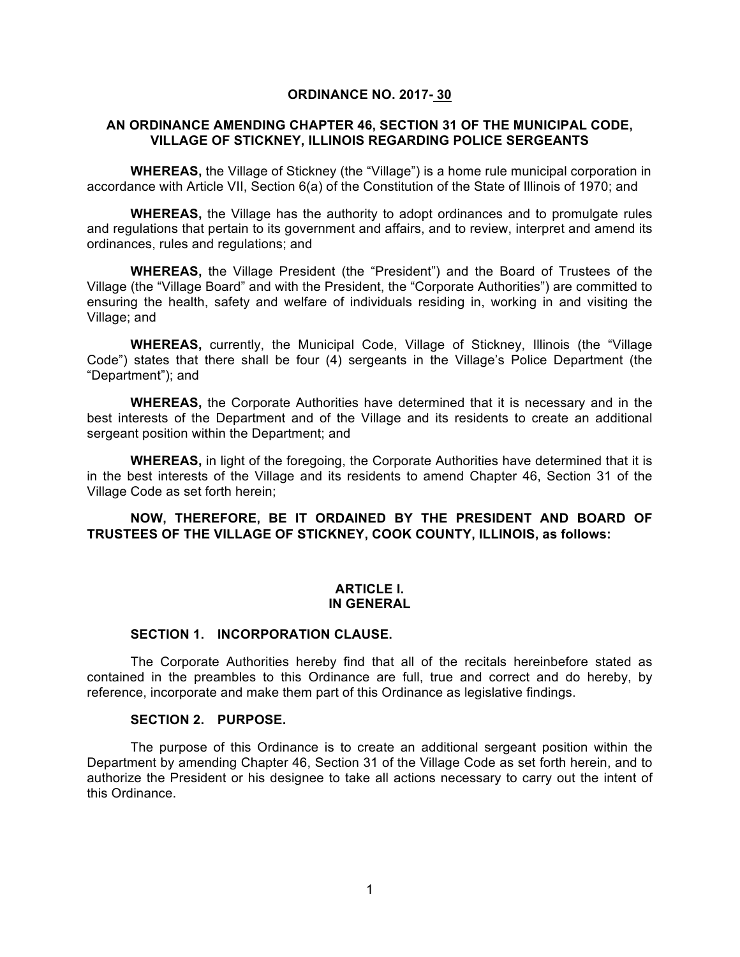## **ORDINANCE NO. 2017- 30**

## **AN ORDINANCE AMENDING CHAPTER 46, SECTION 31 OF THE MUNICIPAL CODE, VILLAGE OF STICKNEY, ILLINOIS REGARDING POLICE SERGEANTS**

**WHEREAS,** the Village of Stickney (the "Village") is a home rule municipal corporation in accordance with Article VII, Section 6(a) of the Constitution of the State of Illinois of 1970; and

**WHEREAS,** the Village has the authority to adopt ordinances and to promulgate rules and regulations that pertain to its government and affairs, and to review, interpret and amend its ordinances, rules and regulations; and

**WHEREAS,** the Village President (the "President") and the Board of Trustees of the Village (the "Village Board" and with the President, the "Corporate Authorities") are committed to ensuring the health, safety and welfare of individuals residing in, working in and visiting the Village; and

**WHEREAS,** currently, the Municipal Code, Village of Stickney, Illinois (the "Village Code") states that there shall be four (4) sergeants in the Village's Police Department (the "Department"); and

**WHEREAS,** the Corporate Authorities have determined that it is necessary and in the best interests of the Department and of the Village and its residents to create an additional sergeant position within the Department; and

**WHEREAS,** in light of the foregoing, the Corporate Authorities have determined that it is in the best interests of the Village and its residents to amend Chapter 46, Section 31 of the Village Code as set forth herein;

**NOW, THEREFORE, BE IT ORDAINED BY THE PRESIDENT AND BOARD OF TRUSTEES OF THE VILLAGE OF STICKNEY, COOK COUNTY, ILLINOIS, as follows:**

#### **ARTICLE I. IN GENERAL**

## **SECTION 1. INCORPORATION CLAUSE.**

The Corporate Authorities hereby find that all of the recitals hereinbefore stated as contained in the preambles to this Ordinance are full, true and correct and do hereby, by reference, incorporate and make them part of this Ordinance as legislative findings.

#### **SECTION 2. PURPOSE.**

The purpose of this Ordinance is to create an additional sergeant position within the Department by amending Chapter 46, Section 31 of the Village Code as set forth herein, and to authorize the President or his designee to take all actions necessary to carry out the intent of this Ordinance.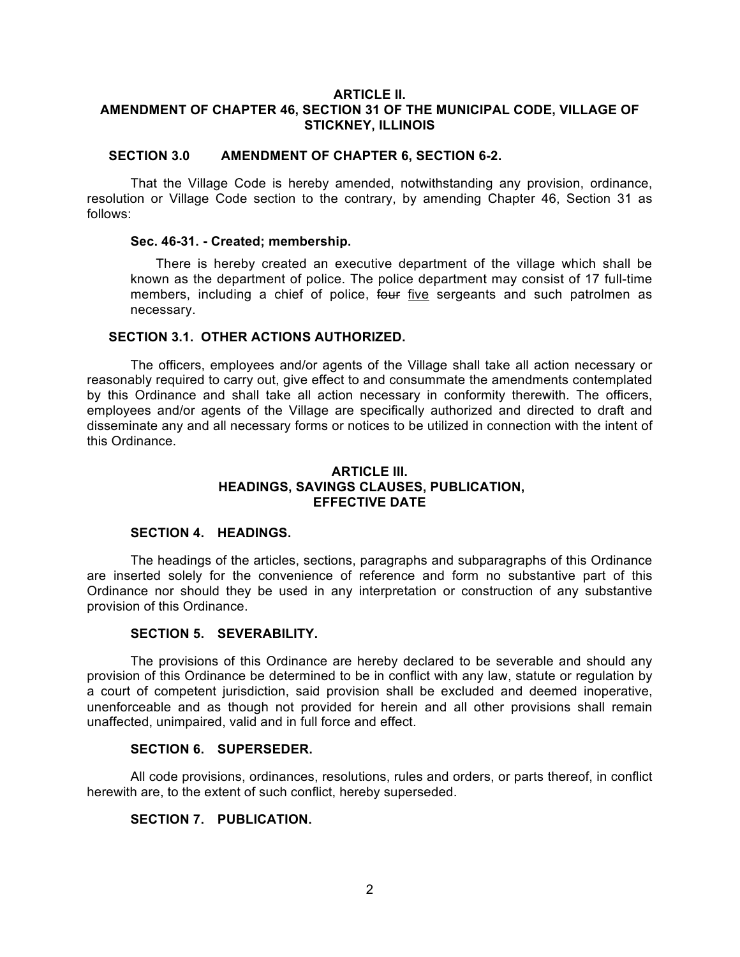# **ARTICLE II. AMENDMENT OF CHAPTER 46, SECTION 31 OF THE MUNICIPAL CODE, VILLAGE OF STICKNEY, ILLINOIS**

## **SECTION 3.0 AMENDMENT OF CHAPTER 6, SECTION 6-2.**

That the Village Code is hereby amended, notwithstanding any provision, ordinance, resolution or Village Code section to the contrary, by amending Chapter 46, Section 31 as follows:

#### **Sec. 46-31. - Created; membership.**

There is hereby created an executive department of the village which shall be known as the department of police. The police department may consist of 17 full-time members, including a chief of police, four five sergeants and such patrolmen as necessary.

### **SECTION 3.1. OTHER ACTIONS AUTHORIZED.**

The officers, employees and/or agents of the Village shall take all action necessary or reasonably required to carry out, give effect to and consummate the amendments contemplated by this Ordinance and shall take all action necessary in conformity therewith. The officers, employees and/or agents of the Village are specifically authorized and directed to draft and disseminate any and all necessary forms or notices to be utilized in connection with the intent of this Ordinance.

# **ARTICLE III. HEADINGS, SAVINGS CLAUSES, PUBLICATION, EFFECTIVE DATE**

# **SECTION 4. HEADINGS.**

The headings of the articles, sections, paragraphs and subparagraphs of this Ordinance are inserted solely for the convenience of reference and form no substantive part of this Ordinance nor should they be used in any interpretation or construction of any substantive provision of this Ordinance.

## **SECTION 5. SEVERABILITY.**

The provisions of this Ordinance are hereby declared to be severable and should any provision of this Ordinance be determined to be in conflict with any law, statute or regulation by a court of competent jurisdiction, said provision shall be excluded and deemed inoperative, unenforceable and as though not provided for herein and all other provisions shall remain unaffected, unimpaired, valid and in full force and effect.

## **SECTION 6. SUPERSEDER.**

All code provisions, ordinances, resolutions, rules and orders, or parts thereof, in conflict herewith are, to the extent of such conflict, hereby superseded.

# **SECTION 7. PUBLICATION.**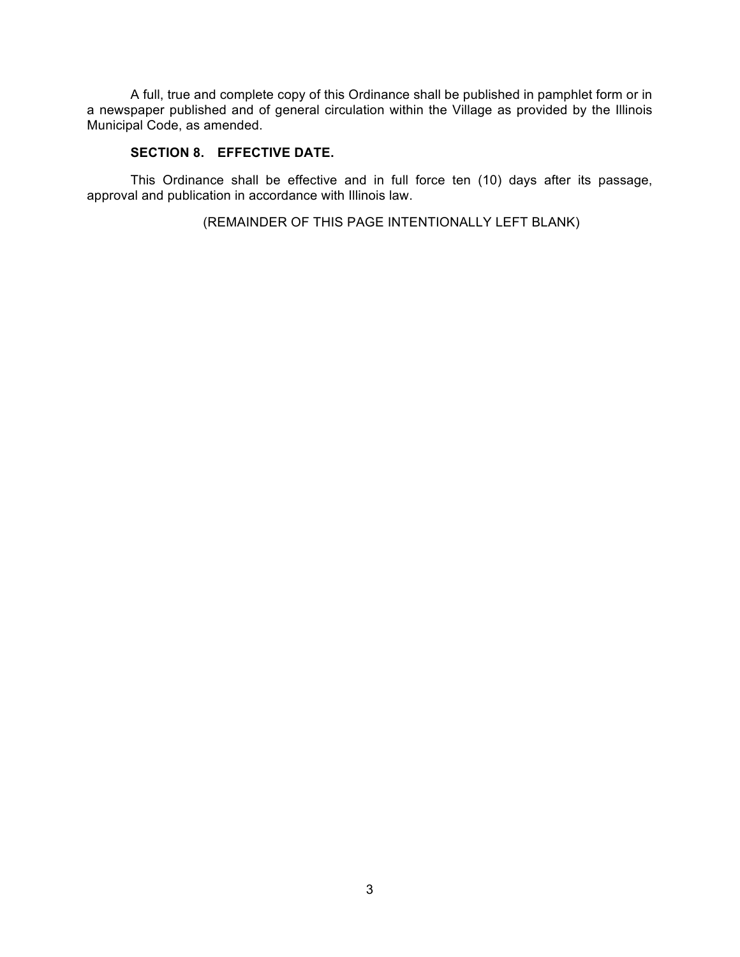A full, true and complete copy of this Ordinance shall be published in pamphlet form or in a newspaper published and of general circulation within the Village as provided by the Illinois Municipal Code, as amended.

# **SECTION 8. EFFECTIVE DATE.**

This Ordinance shall be effective and in full force ten (10) days after its passage, approval and publication in accordance with Illinois law.

(REMAINDER OF THIS PAGE INTENTIONALLY LEFT BLANK)